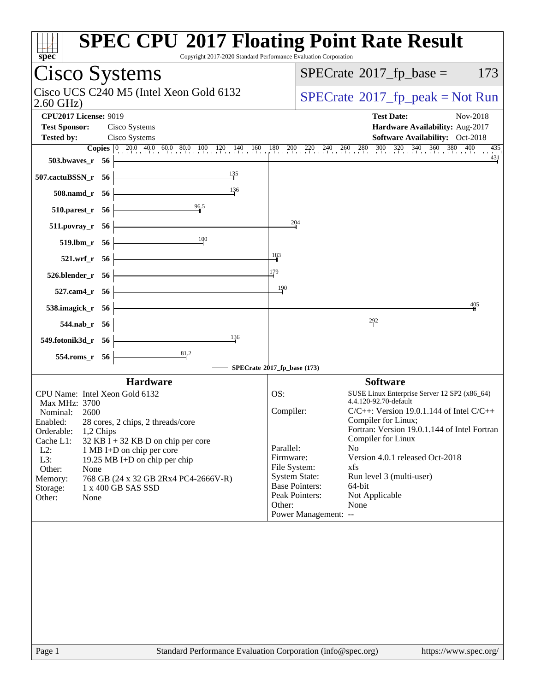| spec                                                                     | <b>SPEC CPU®2017 Floating Point Rate Result</b><br>Copyright 2017-2020 Standard Performance Evaluation Corporation                                                                                                          |
|--------------------------------------------------------------------------|-----------------------------------------------------------------------------------------------------------------------------------------------------------------------------------------------------------------------------|
| Cisco Systems                                                            | $SPECrate^{\circ}2017$ _fp_base =<br>173                                                                                                                                                                                    |
| Cisco UCS C240 M5 (Intel Xeon Gold 6132<br>$2.60$ GHz)                   | $SPECTate@2017fr peak = Not Run$                                                                                                                                                                                            |
| <b>CPU2017 License: 9019</b><br><b>Test Sponsor:</b><br>Cisco Systems    | <b>Test Date:</b><br>Nov-2018<br>Hardware Availability: Aug-2017                                                                                                                                                            |
| Cisco Systems<br><b>Tested by:</b>                                       | Software Availability: Oct-2018<br><b>Copies</b> $\begin{bmatrix} 0 & 20.0 & 40.0 & 60.0 & 80.0 & 100 & 120 & 140 & 160 & 180 & 200 & 220 & 240 & 260 & 280 & 300 & 320 & 340 & 360 & 380 & 400 & 435 \end{bmatrix}$<br>435 |
| 503.bwaves_r 56                                                          | $\frac{431}{1}$                                                                                                                                                                                                             |
| $\frac{135}{7}$<br>507.cactuBSSN_r 56                                    |                                                                                                                                                                                                                             |
| $\frac{136}{ }$<br>508.namd_r 56                                         |                                                                                                                                                                                                                             |
| 96.5<br>$510.parest_r$ 56                                                |                                                                                                                                                                                                                             |
| 511.povray_r 56                                                          | 204                                                                                                                                                                                                                         |
| $100\,$<br>519.lbm_r 56                                                  |                                                                                                                                                                                                                             |
| $521.wrf_r$ 56                                                           | 183                                                                                                                                                                                                                         |
| $526.$ blender_r $56$                                                    | 179                                                                                                                                                                                                                         |
| 527.cam4_r $56$                                                          | 190                                                                                                                                                                                                                         |
| 538.imagick_r $56$                                                       | 405                                                                                                                                                                                                                         |
| 544.nab_r 56                                                             | 292                                                                                                                                                                                                                         |
| 136<br>549.fotonik3d_r 56                                                |                                                                                                                                                                                                                             |
| 554.roms_r 56                                                            |                                                                                                                                                                                                                             |
|                                                                          | SPECrate®2017_fp_base (173)                                                                                                                                                                                                 |
| <b>Hardware</b>                                                          | <b>Software</b>                                                                                                                                                                                                             |
| CPU Name: Intel Xeon Gold 6132                                           | OS:<br>SUSE Linux Enterprise Server 12 SP2 (x86_64)                                                                                                                                                                         |
| Max MHz: 3700                                                            | 4.4.120-92.70-default                                                                                                                                                                                                       |
| Nominal:<br>2600                                                         | Compiler:<br>$C/C++$ : Version 19.0.1.144 of Intel $C/C++$<br>Compiler for Linux;                                                                                                                                           |
| 28 cores, 2 chips, 2 threads/core<br>Enabled:<br>Orderable:<br>1,2 Chips | Fortran: Version 19.0.1.144 of Intel Fortran                                                                                                                                                                                |
| Cache L1:<br>$32$ KB I + 32 KB D on chip per core                        | Compiler for Linux                                                                                                                                                                                                          |
| $L2$ :<br>1 MB I+D on chip per core                                      | Parallel:<br>N <sub>o</sub>                                                                                                                                                                                                 |
| L3:<br>19.25 MB I+D on chip per chip                                     | Version 4.0.1 released Oct-2018<br>Firmware:<br>File System:<br>xfs                                                                                                                                                         |
| Other:<br>None<br>Memory:<br>768 GB (24 x 32 GB 2Rx4 PC4-2666V-R)        | <b>System State:</b><br>Run level 3 (multi-user)                                                                                                                                                                            |
| 1 x 400 GB SAS SSD<br>Storage:                                           | <b>Base Pointers:</b><br>$64$ -bit                                                                                                                                                                                          |
| Other:<br>None                                                           | Peak Pointers:<br>Not Applicable                                                                                                                                                                                            |
|                                                                          | Other:<br>None                                                                                                                                                                                                              |
|                                                                          | Power Management: --                                                                                                                                                                                                        |
|                                                                          |                                                                                                                                                                                                                             |
|                                                                          |                                                                                                                                                                                                                             |
| $D2$ $\alpha$ 1                                                          | $Standard$ Performance Evaluation Corporation (info@spec.org)<br>http://www.                                                                                                                                                |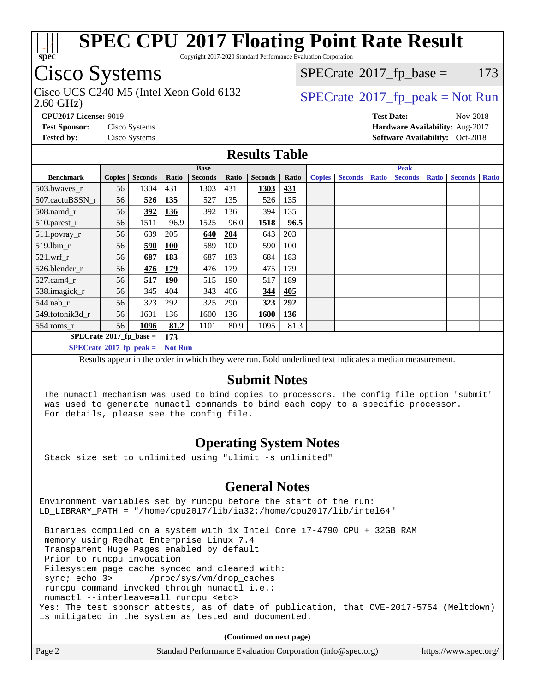

Copyright 2017-2020 Standard Performance Evaluation Corporation

### Cisco Systems

2.60 GHz) Cisco UCS C240 M5 (Intel Xeon Gold 6132  $\vert$  [SPECrate](http://www.spec.org/auto/cpu2017/Docs/result-fields.html#SPECrate2017fppeak)®[2017\\_fp\\_peak = N](http://www.spec.org/auto/cpu2017/Docs/result-fields.html#SPECrate2017fppeak)ot Run

 $SPECTate$ <sup>®</sup>[2017\\_fp\\_base =](http://www.spec.org/auto/cpu2017/Docs/result-fields.html#SPECrate2017fpbase) 173

**[CPU2017 License:](http://www.spec.org/auto/cpu2017/Docs/result-fields.html#CPU2017License)** 9019 **[Test Date:](http://www.spec.org/auto/cpu2017/Docs/result-fields.html#TestDate)** Nov-2018 **[Test Sponsor:](http://www.spec.org/auto/cpu2017/Docs/result-fields.html#TestSponsor)** Cisco Systems **[Hardware Availability:](http://www.spec.org/auto/cpu2017/Docs/result-fields.html#HardwareAvailability)** Aug-2017 **[Tested by:](http://www.spec.org/auto/cpu2017/Docs/result-fields.html#Testedby)** Cisco Systems **[Software Availability:](http://www.spec.org/auto/cpu2017/Docs/result-fields.html#SoftwareAvailability)** Oct-2018

#### **[Results Table](http://www.spec.org/auto/cpu2017/Docs/result-fields.html#ResultsTable)**

|                                               | <b>Base</b>   |                |                |                |            | <b>Peak</b>    |       |               |                |              |                |              |                |              |
|-----------------------------------------------|---------------|----------------|----------------|----------------|------------|----------------|-------|---------------|----------------|--------------|----------------|--------------|----------------|--------------|
| <b>Benchmark</b>                              | <b>Copies</b> | <b>Seconds</b> | Ratio          | <b>Seconds</b> | Ratio      | <b>Seconds</b> | Ratio | <b>Copies</b> | <b>Seconds</b> | <b>Ratio</b> | <b>Seconds</b> | <b>Ratio</b> | <b>Seconds</b> | <b>Ratio</b> |
| 503.bwayes r                                  | 56            | 1304           | 431            | 1303           | 431        | 1303           | 431   |               |                |              |                |              |                |              |
| 507.cactuBSSN r                               | 56            | 526            | 135            | 527            | 135        | 526            | 135   |               |                |              |                |              |                |              |
| 508.namd_r                                    | 56            | 392            | 136            | 392            | 136        | 394            | 135   |               |                |              |                |              |                |              |
| 510.parest_r                                  | 56            | 1511           | 96.9           | 1525           | 96.0       | 1518           | 96.5  |               |                |              |                |              |                |              |
| 511.povray_r                                  | 56            | 639            | 205            | 640            | <u>204</u> | 643            | 203   |               |                |              |                |              |                |              |
| 519.lbm r                                     | 56            | 590            | 100            | 589            | 100        | 590            | 100   |               |                |              |                |              |                |              |
| $521.wrf$ r                                   | 56            | 687            | 183            | 687            | 183        | 684            | 183   |               |                |              |                |              |                |              |
| 526.blender r                                 | 56            | 476            | 179            | 476            | 179        | 475            | 179   |               |                |              |                |              |                |              |
| $527$ .cam $4r$                               | 56            | 517            | 190            | 515            | 190        | 517            | 189   |               |                |              |                |              |                |              |
| 538.imagick_r                                 | 56            | 345            | 404            | 343            | 406        | 344            | 405   |               |                |              |                |              |                |              |
| $544$ .nab r                                  | 56            | 323            | 292            | 325            | 290        | 323            | 292   |               |                |              |                |              |                |              |
| 549.fotonik3d r                               | 56            | 1601           | 136            | 1600           | 136        | 1600           | 136   |               |                |              |                |              |                |              |
| $554$ .roms_r                                 | 56            | 1096           | 81.2           | 1101           | 80.9       | 1095           | 81.3  |               |                |              |                |              |                |              |
| $SPECrate$ <sup>®</sup> 2017_fp_base =<br>173 |               |                |                |                |            |                |       |               |                |              |                |              |                |              |
| $SPECrate*2017_fp\_peak =$                    |               |                | <b>Not Run</b> |                |            |                |       |               |                |              |                |              |                |              |

Results appear in the [order in which they were run.](http://www.spec.org/auto/cpu2017/Docs/result-fields.html#RunOrder) Bold underlined text [indicates a median measurement.](http://www.spec.org/auto/cpu2017/Docs/result-fields.html#Median)

#### **[Submit Notes](http://www.spec.org/auto/cpu2017/Docs/result-fields.html#SubmitNotes)**

 The numactl mechanism was used to bind copies to processors. The config file option 'submit' was used to generate numactl commands to bind each copy to a specific processor. For details, please see the config file.

### **[Operating System Notes](http://www.spec.org/auto/cpu2017/Docs/result-fields.html#OperatingSystemNotes)**

Stack size set to unlimited using "ulimit -s unlimited"

### **[General Notes](http://www.spec.org/auto/cpu2017/Docs/result-fields.html#GeneralNotes)**

Environment variables set by runcpu before the start of the run: LD\_LIBRARY\_PATH = "/home/cpu2017/lib/ia32:/home/cpu2017/lib/intel64"

 Binaries compiled on a system with 1x Intel Core i7-4790 CPU + 32GB RAM memory using Redhat Enterprise Linux 7.4 Transparent Huge Pages enabled by default Prior to runcpu invocation Filesystem page cache synced and cleared with: sync; echo 3> /proc/sys/vm/drop\_caches runcpu command invoked through numactl i.e.: numactl --interleave=all runcpu <etc> Yes: The test sponsor attests, as of date of publication, that CVE-2017-5754 (Meltdown) is mitigated in the system as tested and documented.

**(Continued on next page)**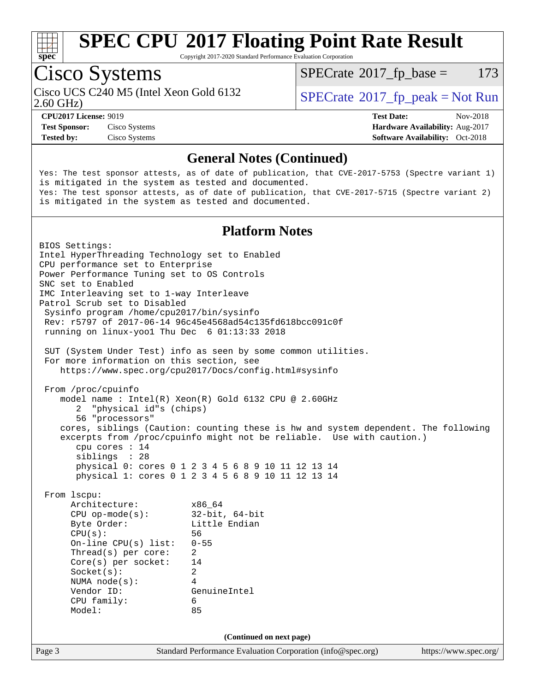

Copyright 2017-2020 Standard Performance Evaluation Corporation

# Cisco Systems

Cisco UCS C240 M5 (Intel Xeon Gold 6132  $\vert$  [SPECrate](http://www.spec.org/auto/cpu2017/Docs/result-fields.html#SPECrate2017fppeak)®[2017\\_fp\\_peak = N](http://www.spec.org/auto/cpu2017/Docs/result-fields.html#SPECrate2017fppeak)ot Run

 $SPECTate$ <sup>®</sup>[2017\\_fp\\_base =](http://www.spec.org/auto/cpu2017/Docs/result-fields.html#SPECrate2017fpbase) 173

2.60 GHz)

**[Test Sponsor:](http://www.spec.org/auto/cpu2017/Docs/result-fields.html#TestSponsor)** Cisco Systems **[Hardware Availability:](http://www.spec.org/auto/cpu2017/Docs/result-fields.html#HardwareAvailability)** Aug-2017 **[Tested by:](http://www.spec.org/auto/cpu2017/Docs/result-fields.html#Testedby)** Cisco Systems **[Software Availability:](http://www.spec.org/auto/cpu2017/Docs/result-fields.html#SoftwareAvailability)** Oct-2018

**[CPU2017 License:](http://www.spec.org/auto/cpu2017/Docs/result-fields.html#CPU2017License)** 9019 **[Test Date:](http://www.spec.org/auto/cpu2017/Docs/result-fields.html#TestDate)** Nov-2018

#### **[General Notes \(Continued\)](http://www.spec.org/auto/cpu2017/Docs/result-fields.html#GeneralNotes)**

Yes: The test sponsor attests, as of date of publication, that CVE-2017-5753 (Spectre variant 1) is mitigated in the system as tested and documented. Yes: The test sponsor attests, as of date of publication, that CVE-2017-5715 (Spectre variant 2) is mitigated in the system as tested and documented.

#### **[Platform Notes](http://www.spec.org/auto/cpu2017/Docs/result-fields.html#PlatformNotes)**

Page 3 Standard Performance Evaluation Corporation [\(info@spec.org\)](mailto:info@spec.org) <https://www.spec.org/> BIOS Settings: Intel HyperThreading Technology set to Enabled CPU performance set to Enterprise Power Performance Tuning set to OS Controls SNC set to Enabled IMC Interleaving set to 1-way Interleave Patrol Scrub set to Disabled Sysinfo program /home/cpu2017/bin/sysinfo Rev: r5797 of 2017-06-14 96c45e4568ad54c135fd618bcc091c0f running on linux-yoo1 Thu Dec 6 01:13:33 2018 SUT (System Under Test) info as seen by some common utilities. For more information on this section, see <https://www.spec.org/cpu2017/Docs/config.html#sysinfo> From /proc/cpuinfo model name : Intel(R) Xeon(R) Gold 6132 CPU @ 2.60GHz 2 "physical id"s (chips) 56 "processors" cores, siblings (Caution: counting these is hw and system dependent. The following excerpts from /proc/cpuinfo might not be reliable. Use with caution.) cpu cores : 14 siblings : 28 physical 0: cores 0 1 2 3 4 5 6 8 9 10 11 12 13 14 physical 1: cores 0 1 2 3 4 5 6 8 9 10 11 12 13 14 From lscpu: Architecture: x86\_64 CPU op-mode(s): 32-bit, 64-bit Byte Order: Little Endian CPU(s): 56 On-line CPU(s) list: 0-55 Thread(s) per core: 2 Core(s) per socket: 14 Socket(s): 2 NUMA node(s): 4 Vendor ID: GenuineIntel CPU family: 6 Model: 85 **(Continued on next page)**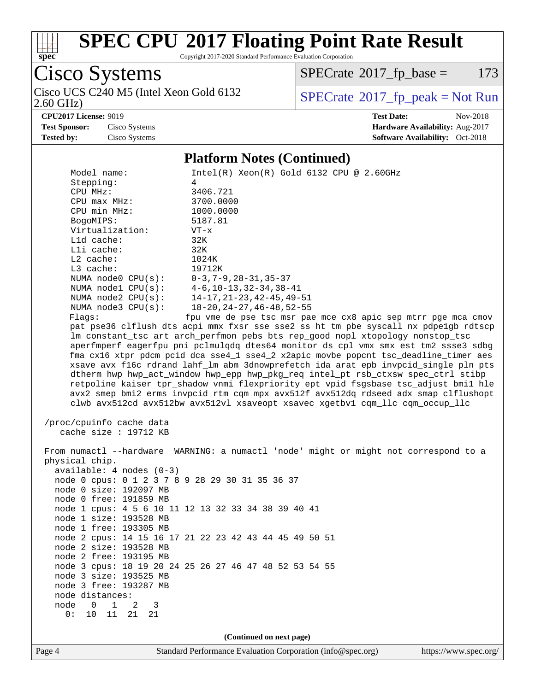

Copyright 2017-2020 Standard Performance Evaluation Corporation

Cisco Systems 2.60 GHz) Cisco UCS C240 M5 (Intel Xeon Gold 6132  $\boxed{\text{SPECrate}^{\circ}2017\_fp\_peak = Not Run}$  $\boxed{\text{SPECrate}^{\circ}2017\_fp\_peak = Not Run}$  $\boxed{\text{SPECrate}^{\circ}2017\_fp\_peak = Not Run}$ 

 $SPECTate@2017_fp\_base = 173$ 

**[CPU2017 License:](http://www.spec.org/auto/cpu2017/Docs/result-fields.html#CPU2017License)** 9019 **[Test Date:](http://www.spec.org/auto/cpu2017/Docs/result-fields.html#TestDate)** Nov-2018

**[Test Sponsor:](http://www.spec.org/auto/cpu2017/Docs/result-fields.html#TestSponsor)** Cisco Systems **[Hardware Availability:](http://www.spec.org/auto/cpu2017/Docs/result-fields.html#HardwareAvailability)** Aug-2017 **[Tested by:](http://www.spec.org/auto/cpu2017/Docs/result-fields.html#Testedby)** Cisco Systems **[Software Availability:](http://www.spec.org/auto/cpu2017/Docs/result-fields.html#SoftwareAvailability)** Oct-2018

#### **[Platform Notes \(Continued\)](http://www.spec.org/auto/cpu2017/Docs/result-fields.html#PlatformNotes)**

| Model name:<br>Stepping:<br>CPU MHz:<br>$CPU$ $max$ $MHz$ :<br>CPU min MHz:<br>BogoMIPS:        | $Intel(R)$ Xeon $(R)$ Gold 6132 CPU @ 2.60GHz<br>4<br>3406.721<br>3700.0000<br>1000.0000<br>5187.81                                                                                                                                                                                                                                                                                                                                                                                                                                                                                                                  |  |  |  |  |
|-------------------------------------------------------------------------------------------------|----------------------------------------------------------------------------------------------------------------------------------------------------------------------------------------------------------------------------------------------------------------------------------------------------------------------------------------------------------------------------------------------------------------------------------------------------------------------------------------------------------------------------------------------------------------------------------------------------------------------|--|--|--|--|
| Virtualization:                                                                                 | $VT - x$                                                                                                                                                                                                                                                                                                                                                                                                                                                                                                                                                                                                             |  |  |  |  |
| L1d cache:                                                                                      | 32K                                                                                                                                                                                                                                                                                                                                                                                                                                                                                                                                                                                                                  |  |  |  |  |
| Lli cache:                                                                                      | 32K                                                                                                                                                                                                                                                                                                                                                                                                                                                                                                                                                                                                                  |  |  |  |  |
| $L2$ cache:                                                                                     | 1024K                                                                                                                                                                                                                                                                                                                                                                                                                                                                                                                                                                                                                |  |  |  |  |
| L3 cache:<br>NUMA node0 CPU(s): 0-3,7-9,28-31,35-37                                             | 19712K                                                                                                                                                                                                                                                                                                                                                                                                                                                                                                                                                                                                               |  |  |  |  |
| NUMA nodel CPU(s):                                                                              | $4-6, 10-13, 32-34, 38-41$                                                                                                                                                                                                                                                                                                                                                                                                                                                                                                                                                                                           |  |  |  |  |
| NUMA $node2$ $CPU(s):$                                                                          | 14-17,21-23,42-45,49-51                                                                                                                                                                                                                                                                                                                                                                                                                                                                                                                                                                                              |  |  |  |  |
| NUMA $node3$ $CPU(s):$                                                                          | $18 - 20$ , $24 - 27$ , $46 - 48$ , $52 - 55$                                                                                                                                                                                                                                                                                                                                                                                                                                                                                                                                                                        |  |  |  |  |
| Flags:                                                                                          | fpu vme de pse tsc msr pae mce cx8 apic sep mtrr pge mca cmov<br>pat pse36 clflush dts acpi mmx fxsr sse sse2 ss ht tm pbe syscall nx pdpelgb rdtscp<br>lm constant_tsc art arch_perfmon pebs bts rep_good nopl xtopology nonstop_tsc                                                                                                                                                                                                                                                                                                                                                                                |  |  |  |  |
|                                                                                                 | aperfmperf eagerfpu pni pclmulqdq dtes64 monitor ds_cpl vmx smx est tm2 ssse3 sdbg<br>fma cx16 xtpr pdcm pcid dca sse4_1 sse4_2 x2apic movbe popcnt tsc_deadline_timer aes<br>xsave avx f16c rdrand lahf_lm abm 3dnowprefetch ida arat epb invpcid_single pln pts<br>dtherm hwp hwp_act_window hwp_epp hwp_pkg_req intel_pt rsb_ctxsw spec_ctrl stibp<br>retpoline kaiser tpr_shadow vnmi flexpriority ept vpid fsgsbase tsc_adjust bmil hle<br>avx2 smep bmi2 erms invpcid rtm cqm mpx avx512f avx512dq rdseed adx smap clflushopt<br>clwb avx512cd avx512bw avx512vl xsaveopt xsavec xgetbv1 cqm_llc cqm_occup_llc |  |  |  |  |
| /proc/cpuinfo cache data<br>cache size $: 19712$ KB                                             |                                                                                                                                                                                                                                                                                                                                                                                                                                                                                                                                                                                                                      |  |  |  |  |
| physical chip.<br>$available: 4 nodes (0-3)$<br>node 0 cpus: 0 1 2 3 7 8 9 28 29 30 31 35 36 37 | From numactl --hardware WARNING: a numactl 'node' might or might not correspond to a                                                                                                                                                                                                                                                                                                                                                                                                                                                                                                                                 |  |  |  |  |
| node 0 size: 192097 MB                                                                          |                                                                                                                                                                                                                                                                                                                                                                                                                                                                                                                                                                                                                      |  |  |  |  |
| node 0 free: 191859 MB                                                                          |                                                                                                                                                                                                                                                                                                                                                                                                                                                                                                                                                                                                                      |  |  |  |  |
|                                                                                                 | node 1 cpus: 4 5 6 10 11 12 13 32 33 34 38 39 40 41                                                                                                                                                                                                                                                                                                                                                                                                                                                                                                                                                                  |  |  |  |  |
| node 1 size: 193528 MB<br>node 1 free: 193305 MB                                                |                                                                                                                                                                                                                                                                                                                                                                                                                                                                                                                                                                                                                      |  |  |  |  |
|                                                                                                 | node 2 cpus: 14 15 16 17 21 22 23 42 43 44 45 49 50 51                                                                                                                                                                                                                                                                                                                                                                                                                                                                                                                                                               |  |  |  |  |
| node 2 size: 193528 MB                                                                          |                                                                                                                                                                                                                                                                                                                                                                                                                                                                                                                                                                                                                      |  |  |  |  |
| node 2 free: 193195 MB                                                                          |                                                                                                                                                                                                                                                                                                                                                                                                                                                                                                                                                                                                                      |  |  |  |  |
|                                                                                                 | node 3 cpus: 18 19 20 24 25 26 27 46 47 48 52 53 54 55                                                                                                                                                                                                                                                                                                                                                                                                                                                                                                                                                               |  |  |  |  |
| node 3 size: 193525 MB                                                                          |                                                                                                                                                                                                                                                                                                                                                                                                                                                                                                                                                                                                                      |  |  |  |  |
| node 3 free: 193287 MB<br>node distances:                                                       |                                                                                                                                                                                                                                                                                                                                                                                                                                                                                                                                                                                                                      |  |  |  |  |
| node<br>$\overline{0}$<br>$\mathbf{1}$<br>2<br>3                                                |                                                                                                                                                                                                                                                                                                                                                                                                                                                                                                                                                                                                                      |  |  |  |  |
| 10 11<br>0:<br>21<br>21                                                                         |                                                                                                                                                                                                                                                                                                                                                                                                                                                                                                                                                                                                                      |  |  |  |  |
| (Continued on next page)                                                                        |                                                                                                                                                                                                                                                                                                                                                                                                                                                                                                                                                                                                                      |  |  |  |  |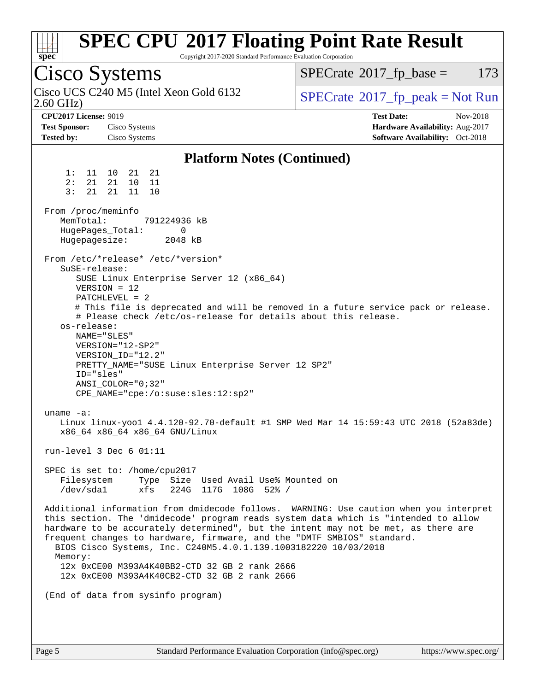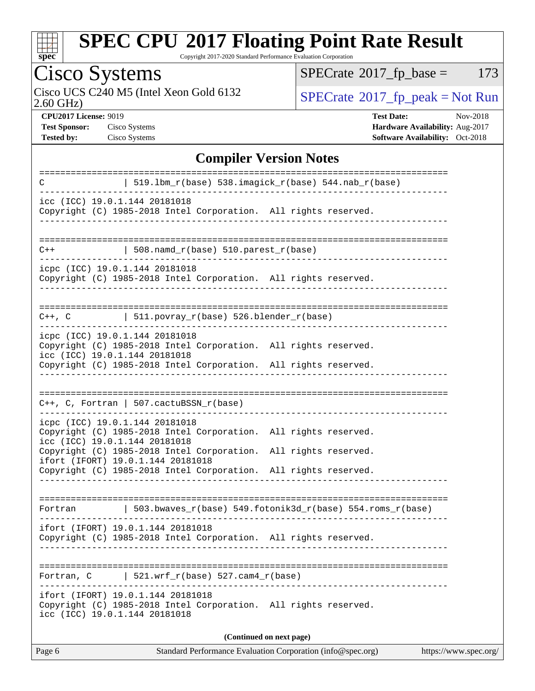

Copyright 2017-2020 Standard Performance Evaluation Corporation

# Cisco Systems

2.60 GHz) Cisco UCS C240 M5 (Intel Xeon Gold 6132  $\boxed{\text{SPECrate}^{\circ}2017\_fp\_peak = Not Run}$  $\boxed{\text{SPECrate}^{\circ}2017\_fp\_peak = Not Run}$  $\boxed{\text{SPECrate}^{\circ}2017\_fp\_peak = Not Run}$ 

 $SPECTate@2017_fp\_base = 173$ 

**[Tested by:](http://www.spec.org/auto/cpu2017/Docs/result-fields.html#Testedby)** Cisco Systems **[Software Availability:](http://www.spec.org/auto/cpu2017/Docs/result-fields.html#SoftwareAvailability)** Oct-2018

**[CPU2017 License:](http://www.spec.org/auto/cpu2017/Docs/result-fields.html#CPU2017License)** 9019 **[Test Date:](http://www.spec.org/auto/cpu2017/Docs/result-fields.html#TestDate)** Nov-2018 **[Test Sponsor:](http://www.spec.org/auto/cpu2017/Docs/result-fields.html#TestSponsor)** Cisco Systems **[Hardware Availability:](http://www.spec.org/auto/cpu2017/Docs/result-fields.html#HardwareAvailability)** Aug-2017

#### **[Compiler Version Notes](http://www.spec.org/auto/cpu2017/Docs/result-fields.html#CompilerVersionNotes)**

| C                                                               | 519.1bm_r(base) 538.imagick_r(base) 544.nab_r(base)                                                                                                |                                |
|-----------------------------------------------------------------|----------------------------------------------------------------------------------------------------------------------------------------------------|--------------------------------|
| icc (ICC) 19.0.1.144 20181018                                   | Copyright (C) 1985-2018 Intel Corporation. All rights reserved.                                                                                    |                                |
| $C++$                                                           | $508.namd_r(base) 510.parest_r(base)$                                                                                                              |                                |
| icpc (ICC) 19.0.1.144 20181018                                  | Copyright (C) 1985-2018 Intel Corporation. All rights reserved.                                                                                    |                                |
| $C++$ , $C$                                                     | $ $ 511.povray_r(base) 526.blender_r(base)                                                                                                         | ============================== |
| icpc (ICC) 19.0.1.144 20181018<br>icc (ICC) 19.0.1.144 20181018 | Copyright (C) 1985-2018 Intel Corporation. All rights reserved.                                                                                    |                                |
|                                                                 | Copyright (C) 1985-2018 Intel Corporation. All rights reserved.                                                                                    |                                |
|                                                                 | $C++$ , C, Fortran   507.cactuBSSN_r(base)                                                                                                         |                                |
| icpc (ICC) 19.0.1.144 20181018<br>icc (ICC) 19.0.1.144 20181018 | Copyright (C) 1985-2018 Intel Corporation. All rights reserved.                                                                                    |                                |
|                                                                 | Copyright (C) 1985-2018 Intel Corporation.<br>ifort (IFORT) 19.0.1.144 20181018<br>Copyright (C) 1985-2018 Intel Corporation. All rights reserved. | All rights reserved.           |
|                                                                 |                                                                                                                                                    |                                |
| Fortran                                                         | 503.bwaves_r(base) 549.fotonik3d_r(base) 554.roms_r(base)                                                                                          |                                |
|                                                                 | ifort (IFORT) 19.0.1.144 20181018<br>Copyright (C) 1985-2018 Intel Corporation. All rights reserved.                                               |                                |
| Fortran, C                                                      | $521.wrf_r(base) 527.cam4_r(base)$                                                                                                                 | -----------------------------  |
| icc (ICC) 19.0.1.144 20181018                                   | ifort (IFORT) 19.0.1.144 20181018<br>Copyright (C) 1985-2018 Intel Corporation. All rights reserved.                                               |                                |
|                                                                 | (Continued on next page)                                                                                                                           |                                |
| Page 6                                                          | Standard Performance Evaluation Corporation (info@spec.org)                                                                                        | https://www.spec.org/          |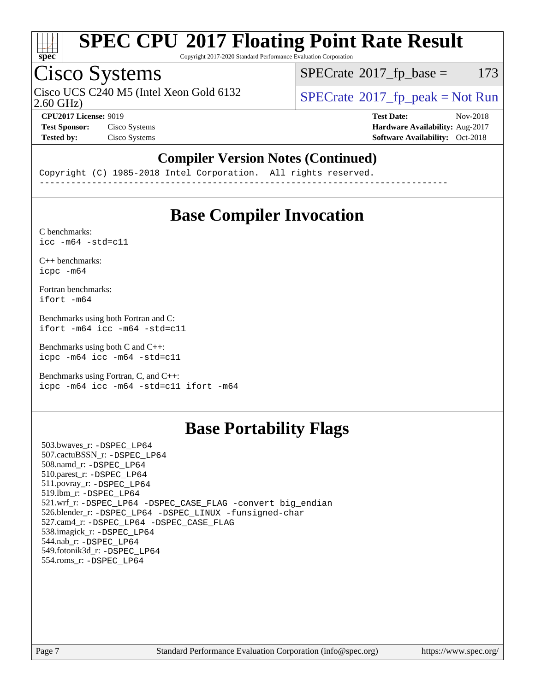

Copyright 2017-2020 Standard Performance Evaluation Corporation

### Cisco Systems

Cisco UCS C240 M5 (Intel Xeon Gold 6132  $\vert$  [SPECrate](http://www.spec.org/auto/cpu2017/Docs/result-fields.html#SPECrate2017fppeak) [2017\\_fp\\_peak = N](http://www.spec.org/auto/cpu2017/Docs/result-fields.html#SPECrate2017fppeak)ot Run

 $SPECTate$ <sup>®</sup>[2017\\_fp\\_base =](http://www.spec.org/auto/cpu2017/Docs/result-fields.html#SPECrate2017fpbase) 173

2.60 GHz)

**[CPU2017 License:](http://www.spec.org/auto/cpu2017/Docs/result-fields.html#CPU2017License)** 9019 **[Test Date:](http://www.spec.org/auto/cpu2017/Docs/result-fields.html#TestDate)** Nov-2018 **[Test Sponsor:](http://www.spec.org/auto/cpu2017/Docs/result-fields.html#TestSponsor)** Cisco Systems **[Hardware Availability:](http://www.spec.org/auto/cpu2017/Docs/result-fields.html#HardwareAvailability)** Aug-2017 **[Tested by:](http://www.spec.org/auto/cpu2017/Docs/result-fields.html#Testedby)** Cisco Systems **[Software Availability:](http://www.spec.org/auto/cpu2017/Docs/result-fields.html#SoftwareAvailability)** Oct-2018

### **[Compiler Version Notes \(Continued\)](http://www.spec.org/auto/cpu2017/Docs/result-fields.html#CompilerVersionNotes)**

Copyright (C) 1985-2018 Intel Corporation. All rights reserved. ------------------------------------------------------------------------------

### **[Base Compiler Invocation](http://www.spec.org/auto/cpu2017/Docs/result-fields.html#BaseCompilerInvocation)**

[C benchmarks](http://www.spec.org/auto/cpu2017/Docs/result-fields.html#Cbenchmarks):  $\text{icc}$  -m64 -std=c11

[C++ benchmarks:](http://www.spec.org/auto/cpu2017/Docs/result-fields.html#CXXbenchmarks) [icpc -m64](http://www.spec.org/cpu2017/results/res2018q4/cpu2017-20181211-10278.flags.html#user_CXXbase_intel_icpc_64bit_4ecb2543ae3f1412ef961e0650ca070fec7b7afdcd6ed48761b84423119d1bf6bdf5cad15b44d48e7256388bc77273b966e5eb805aefd121eb22e9299b2ec9d9)

[Fortran benchmarks](http://www.spec.org/auto/cpu2017/Docs/result-fields.html#Fortranbenchmarks): [ifort -m64](http://www.spec.org/cpu2017/results/res2018q4/cpu2017-20181211-10278.flags.html#user_FCbase_intel_ifort_64bit_24f2bb282fbaeffd6157abe4f878425411749daecae9a33200eee2bee2fe76f3b89351d69a8130dd5949958ce389cf37ff59a95e7a40d588e8d3a57e0c3fd751)

[Benchmarks using both Fortran and C](http://www.spec.org/auto/cpu2017/Docs/result-fields.html#BenchmarksusingbothFortranandC): [ifort -m64](http://www.spec.org/cpu2017/results/res2018q4/cpu2017-20181211-10278.flags.html#user_CC_FCbase_intel_ifort_64bit_24f2bb282fbaeffd6157abe4f878425411749daecae9a33200eee2bee2fe76f3b89351d69a8130dd5949958ce389cf37ff59a95e7a40d588e8d3a57e0c3fd751) [icc -m64 -std=c11](http://www.spec.org/cpu2017/results/res2018q4/cpu2017-20181211-10278.flags.html#user_CC_FCbase_intel_icc_64bit_c11_33ee0cdaae7deeeab2a9725423ba97205ce30f63b9926c2519791662299b76a0318f32ddfffdc46587804de3178b4f9328c46fa7c2b0cd779d7a61945c91cd35)

[Benchmarks using both C and C++](http://www.spec.org/auto/cpu2017/Docs/result-fields.html#BenchmarksusingbothCandCXX): [icpc -m64](http://www.spec.org/cpu2017/results/res2018q4/cpu2017-20181211-10278.flags.html#user_CC_CXXbase_intel_icpc_64bit_4ecb2543ae3f1412ef961e0650ca070fec7b7afdcd6ed48761b84423119d1bf6bdf5cad15b44d48e7256388bc77273b966e5eb805aefd121eb22e9299b2ec9d9) [icc -m64 -std=c11](http://www.spec.org/cpu2017/results/res2018q4/cpu2017-20181211-10278.flags.html#user_CC_CXXbase_intel_icc_64bit_c11_33ee0cdaae7deeeab2a9725423ba97205ce30f63b9926c2519791662299b76a0318f32ddfffdc46587804de3178b4f9328c46fa7c2b0cd779d7a61945c91cd35)

[Benchmarks using Fortran, C, and C++:](http://www.spec.org/auto/cpu2017/Docs/result-fields.html#BenchmarksusingFortranCandCXX) [icpc -m64](http://www.spec.org/cpu2017/results/res2018q4/cpu2017-20181211-10278.flags.html#user_CC_CXX_FCbase_intel_icpc_64bit_4ecb2543ae3f1412ef961e0650ca070fec7b7afdcd6ed48761b84423119d1bf6bdf5cad15b44d48e7256388bc77273b966e5eb805aefd121eb22e9299b2ec9d9) [icc -m64 -std=c11](http://www.spec.org/cpu2017/results/res2018q4/cpu2017-20181211-10278.flags.html#user_CC_CXX_FCbase_intel_icc_64bit_c11_33ee0cdaae7deeeab2a9725423ba97205ce30f63b9926c2519791662299b76a0318f32ddfffdc46587804de3178b4f9328c46fa7c2b0cd779d7a61945c91cd35) [ifort -m64](http://www.spec.org/cpu2017/results/res2018q4/cpu2017-20181211-10278.flags.html#user_CC_CXX_FCbase_intel_ifort_64bit_24f2bb282fbaeffd6157abe4f878425411749daecae9a33200eee2bee2fe76f3b89351d69a8130dd5949958ce389cf37ff59a95e7a40d588e8d3a57e0c3fd751)

### **[Base Portability Flags](http://www.spec.org/auto/cpu2017/Docs/result-fields.html#BasePortabilityFlags)**

 503.bwaves\_r: [-DSPEC\\_LP64](http://www.spec.org/cpu2017/results/res2018q4/cpu2017-20181211-10278.flags.html#suite_basePORTABILITY503_bwaves_r_DSPEC_LP64) 507.cactuBSSN\_r: [-DSPEC\\_LP64](http://www.spec.org/cpu2017/results/res2018q4/cpu2017-20181211-10278.flags.html#suite_basePORTABILITY507_cactuBSSN_r_DSPEC_LP64) 508.namd\_r: [-DSPEC\\_LP64](http://www.spec.org/cpu2017/results/res2018q4/cpu2017-20181211-10278.flags.html#suite_basePORTABILITY508_namd_r_DSPEC_LP64) 510.parest\_r: [-DSPEC\\_LP64](http://www.spec.org/cpu2017/results/res2018q4/cpu2017-20181211-10278.flags.html#suite_basePORTABILITY510_parest_r_DSPEC_LP64) 511.povray\_r: [-DSPEC\\_LP64](http://www.spec.org/cpu2017/results/res2018q4/cpu2017-20181211-10278.flags.html#suite_basePORTABILITY511_povray_r_DSPEC_LP64) 519.lbm\_r: [-DSPEC\\_LP64](http://www.spec.org/cpu2017/results/res2018q4/cpu2017-20181211-10278.flags.html#suite_basePORTABILITY519_lbm_r_DSPEC_LP64) 521.wrf\_r: [-DSPEC\\_LP64](http://www.spec.org/cpu2017/results/res2018q4/cpu2017-20181211-10278.flags.html#suite_basePORTABILITY521_wrf_r_DSPEC_LP64) [-DSPEC\\_CASE\\_FLAG](http://www.spec.org/cpu2017/results/res2018q4/cpu2017-20181211-10278.flags.html#b521.wrf_r_baseCPORTABILITY_DSPEC_CASE_FLAG) [-convert big\\_endian](http://www.spec.org/cpu2017/results/res2018q4/cpu2017-20181211-10278.flags.html#user_baseFPORTABILITY521_wrf_r_convert_big_endian_c3194028bc08c63ac5d04de18c48ce6d347e4e562e8892b8bdbdc0214820426deb8554edfa529a3fb25a586e65a3d812c835984020483e7e73212c4d31a38223) 526.blender\_r: [-DSPEC\\_LP64](http://www.spec.org/cpu2017/results/res2018q4/cpu2017-20181211-10278.flags.html#suite_basePORTABILITY526_blender_r_DSPEC_LP64) [-DSPEC\\_LINUX](http://www.spec.org/cpu2017/results/res2018q4/cpu2017-20181211-10278.flags.html#b526.blender_r_baseCPORTABILITY_DSPEC_LINUX) [-funsigned-char](http://www.spec.org/cpu2017/results/res2018q4/cpu2017-20181211-10278.flags.html#user_baseCPORTABILITY526_blender_r_force_uchar_40c60f00ab013830e2dd6774aeded3ff59883ba5a1fc5fc14077f794d777847726e2a5858cbc7672e36e1b067e7e5c1d9a74f7176df07886a243d7cc18edfe67) 527.cam4\_r: [-DSPEC\\_LP64](http://www.spec.org/cpu2017/results/res2018q4/cpu2017-20181211-10278.flags.html#suite_basePORTABILITY527_cam4_r_DSPEC_LP64) [-DSPEC\\_CASE\\_FLAG](http://www.spec.org/cpu2017/results/res2018q4/cpu2017-20181211-10278.flags.html#b527.cam4_r_baseCPORTABILITY_DSPEC_CASE_FLAG) 538.imagick\_r: [-DSPEC\\_LP64](http://www.spec.org/cpu2017/results/res2018q4/cpu2017-20181211-10278.flags.html#suite_basePORTABILITY538_imagick_r_DSPEC_LP64) 544.nab\_r: [-DSPEC\\_LP64](http://www.spec.org/cpu2017/results/res2018q4/cpu2017-20181211-10278.flags.html#suite_basePORTABILITY544_nab_r_DSPEC_LP64) 549.fotonik3d\_r: [-DSPEC\\_LP64](http://www.spec.org/cpu2017/results/res2018q4/cpu2017-20181211-10278.flags.html#suite_basePORTABILITY549_fotonik3d_r_DSPEC_LP64) 554.roms\_r: [-DSPEC\\_LP64](http://www.spec.org/cpu2017/results/res2018q4/cpu2017-20181211-10278.flags.html#suite_basePORTABILITY554_roms_r_DSPEC_LP64)